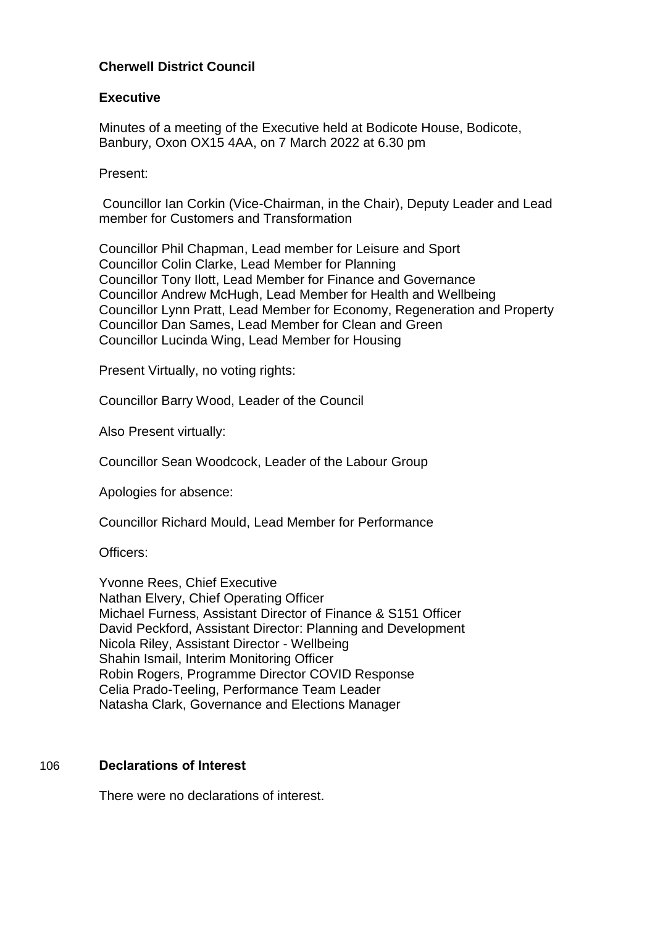# **Cherwell District Council**

#### **Executive**

Minutes of a meeting of the Executive held at Bodicote House, Bodicote, Banbury, Oxon OX15 4AA, on 7 March 2022 at 6.30 pm

Present:

Councillor Ian Corkin (Vice-Chairman, in the Chair), Deputy Leader and Lead member for Customers and Transformation

Councillor Phil Chapman, Lead member for Leisure and Sport Councillor Colin Clarke, Lead Member for Planning Councillor Tony Ilott, Lead Member for Finance and Governance Councillor Andrew McHugh, Lead Member for Health and Wellbeing Councillor Lynn Pratt, Lead Member for Economy, Regeneration and Property Councillor Dan Sames, Lead Member for Clean and Green Councillor Lucinda Wing, Lead Member for Housing

Present Virtually, no voting rights:

Councillor Barry Wood, Leader of the Council

Also Present virtually:

Councillor Sean Woodcock, Leader of the Labour Group

Apologies for absence:

Councillor Richard Mould, Lead Member for Performance

Officers:

Yvonne Rees, Chief Executive Nathan Elvery, Chief Operating Officer Michael Furness, Assistant Director of Finance & S151 Officer David Peckford, Assistant Director: Planning and Development Nicola Riley, Assistant Director - Wellbeing Shahin Ismail, Interim Monitoring Officer Robin Rogers, Programme Director COVID Response Celia Prado-Teeling, Performance Team Leader Natasha Clark, Governance and Elections Manager

#### 106 **Declarations of Interest**

There were no declarations of interest.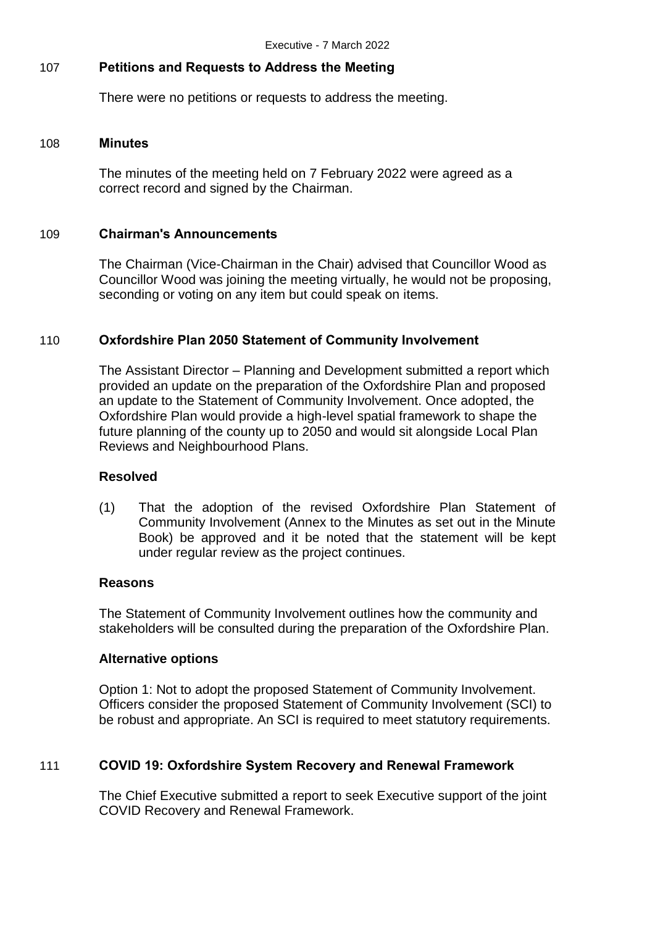# 107 **Petitions and Requests to Address the Meeting**

There were no petitions or requests to address the meeting.

#### 108 **Minutes**

The minutes of the meeting held on 7 February 2022 were agreed as a correct record and signed by the Chairman.

### 109 **Chairman's Announcements**

The Chairman (Vice-Chairman in the Chair) advised that Councillor Wood as Councillor Wood was joining the meeting virtually, he would not be proposing, seconding or voting on any item but could speak on items.

### 110 **Oxfordshire Plan 2050 Statement of Community Involvement**

The Assistant Director – Planning and Development submitted a report which provided an update on the preparation of the Oxfordshire Plan and proposed an update to the Statement of Community Involvement. Once adopted, the Oxfordshire Plan would provide a high-level spatial framework to shape the future planning of the county up to 2050 and would sit alongside Local Plan Reviews and Neighbourhood Plans.

#### **Resolved**

(1) That the adoption of the revised Oxfordshire Plan Statement of Community Involvement (Annex to the Minutes as set out in the Minute Book) be approved and it be noted that the statement will be kept under regular review as the project continues.

#### **Reasons**

The Statement of Community Involvement outlines how the community and stakeholders will be consulted during the preparation of the Oxfordshire Plan.

### **Alternative options**

Option 1: Not to adopt the proposed Statement of Community Involvement. Officers consider the proposed Statement of Community Involvement (SCI) to be robust and appropriate. An SCI is required to meet statutory requirements.

### 111 **COVID 19: Oxfordshire System Recovery and Renewal Framework**

The Chief Executive submitted a report to seek Executive support of the joint COVID Recovery and Renewal Framework.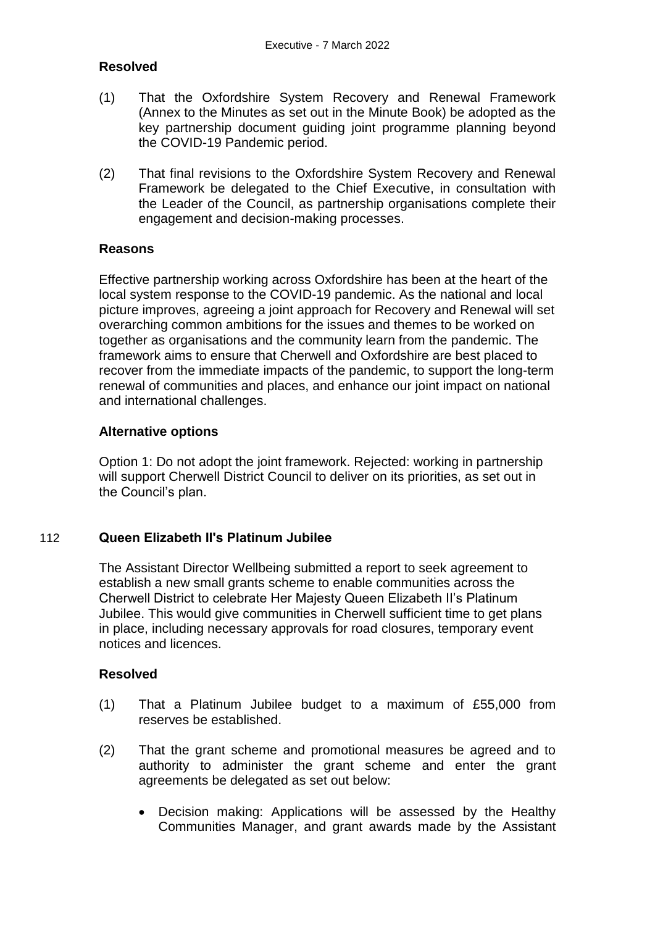# **Resolved**

- (1) That the Oxfordshire System Recovery and Renewal Framework (Annex to the Minutes as set out in the Minute Book) be adopted as the key partnership document guiding joint programme planning beyond the COVID-19 Pandemic period.
- (2) That final revisions to the Oxfordshire System Recovery and Renewal Framework be delegated to the Chief Executive, in consultation with the Leader of the Council, as partnership organisations complete their engagement and decision-making processes.

#### **Reasons**

Effective partnership working across Oxfordshire has been at the heart of the local system response to the COVID-19 pandemic. As the national and local picture improves, agreeing a joint approach for Recovery and Renewal will set overarching common ambitions for the issues and themes to be worked on together as organisations and the community learn from the pandemic. The framework aims to ensure that Cherwell and Oxfordshire are best placed to recover from the immediate impacts of the pandemic, to support the long-term renewal of communities and places, and enhance our joint impact on national and international challenges.

### **Alternative options**

Option 1: Do not adopt the joint framework. Rejected: working in partnership will support Cherwell District Council to deliver on its priorities, as set out in the Council's plan.

### 112 **Queen Elizabeth II's Platinum Jubilee**

The Assistant Director Wellbeing submitted a report to seek agreement to establish a new small grants scheme to enable communities across the Cherwell District to celebrate Her Majesty Queen Elizabeth II's Platinum Jubilee. This would give communities in Cherwell sufficient time to get plans in place, including necessary approvals for road closures, temporary event notices and licences.

### **Resolved**

- (1) That a Platinum Jubilee budget to a maximum of £55,000 from reserves be established.
- (2) That the grant scheme and promotional measures be agreed and to authority to administer the grant scheme and enter the grant agreements be delegated as set out below:
	- Decision making: Applications will be assessed by the Healthy Communities Manager, and grant awards made by the Assistant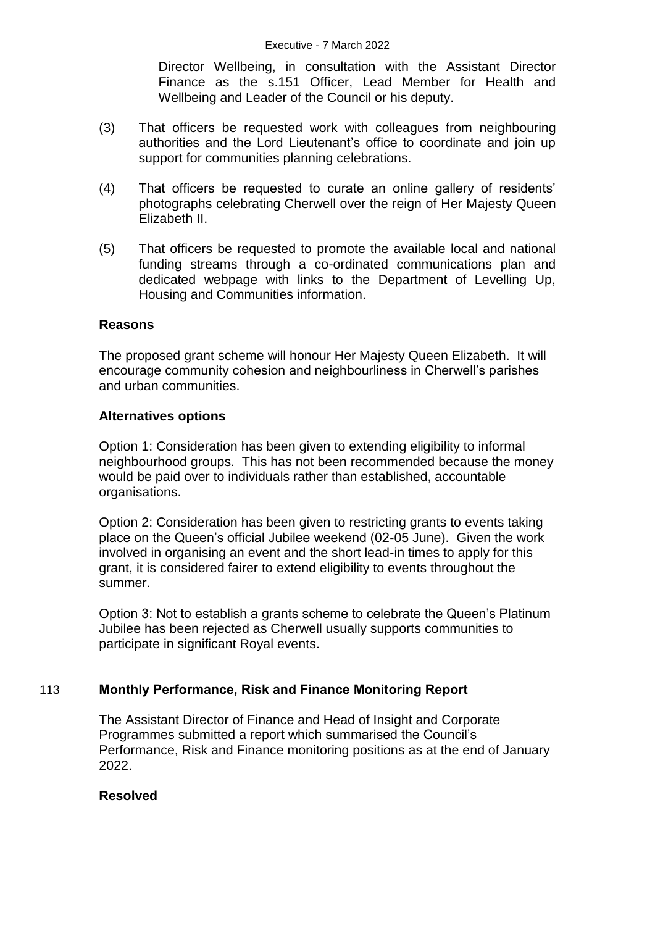Director Wellbeing, in consultation with the Assistant Director Finance as the s.151 Officer, Lead Member for Health and Wellbeing and Leader of the Council or his deputy.

- (3) That officers be requested work with colleagues from neighbouring authorities and the Lord Lieutenant's office to coordinate and join up support for communities planning celebrations.
- (4) That officers be requested to curate an online gallery of residents' photographs celebrating Cherwell over the reign of Her Majesty Queen Elizabeth II.
- (5) That officers be requested to promote the available local and national funding streams through a co-ordinated communications plan and dedicated webpage with links to the Department of Levelling Up, Housing and Communities information.

### **Reasons**

The proposed grant scheme will honour Her Majesty Queen Elizabeth. It will encourage community cohesion and neighbourliness in Cherwell's parishes and urban communities.

### **Alternatives options**

Option 1: Consideration has been given to extending eligibility to informal neighbourhood groups. This has not been recommended because the money would be paid over to individuals rather than established, accountable organisations.

Option 2: Consideration has been given to restricting grants to events taking place on the Queen's official Jubilee weekend (02-05 June). Given the work involved in organising an event and the short lead-in times to apply for this grant, it is considered fairer to extend eligibility to events throughout the summer.

Option 3: Not to establish a grants scheme to celebrate the Queen's Platinum Jubilee has been rejected as Cherwell usually supports communities to participate in significant Royal events.

# 113 **Monthly Performance, Risk and Finance Monitoring Report**

The Assistant Director of Finance and Head of Insight and Corporate Programmes submitted a report which summarised the Council's Performance, Risk and Finance monitoring positions as at the end of January 2022.

### **Resolved**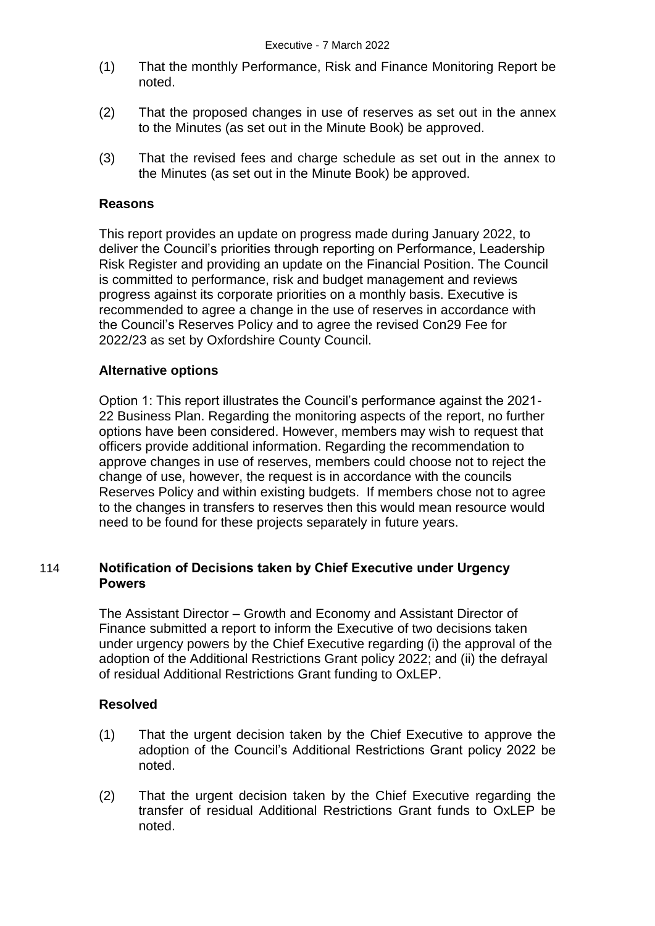- (1) That the monthly Performance, Risk and Finance Monitoring Report be noted.
- (2) That the proposed changes in use of reserves as set out in the annex to the Minutes (as set out in the Minute Book) be approved.
- (3) That the revised fees and charge schedule as set out in the annex to the Minutes (as set out in the Minute Book) be approved.

### **Reasons**

This report provides an update on progress made during January 2022, to deliver the Council's priorities through reporting on Performance, Leadership Risk Register and providing an update on the Financial Position. The Council is committed to performance, risk and budget management and reviews progress against its corporate priorities on a monthly basis. Executive is recommended to agree a change in the use of reserves in accordance with the Council's Reserves Policy and to agree the revised Con29 Fee for 2022/23 as set by Oxfordshire County Council.

#### **Alternative options**

Option 1: This report illustrates the Council's performance against the 2021- 22 Business Plan. Regarding the monitoring aspects of the report, no further options have been considered. However, members may wish to request that officers provide additional information. Regarding the recommendation to approve changes in use of reserves, members could choose not to reject the change of use, however, the request is in accordance with the councils Reserves Policy and within existing budgets. If members chose not to agree to the changes in transfers to reserves then this would mean resource would need to be found for these projects separately in future years.

# 114 **Notification of Decisions taken by Chief Executive under Urgency Powers**

The Assistant Director – Growth and Economy and Assistant Director of Finance submitted a report to inform the Executive of two decisions taken under urgency powers by the Chief Executive regarding (i) the approval of the adoption of the Additional Restrictions Grant policy 2022; and (ii) the defrayal of residual Additional Restrictions Grant funding to OxLEP.

### **Resolved**

- (1) That the urgent decision taken by the Chief Executive to approve the adoption of the Council's Additional Restrictions Grant policy 2022 be noted.
- (2) That the urgent decision taken by the Chief Executive regarding the transfer of residual Additional Restrictions Grant funds to OxLEP be noted.